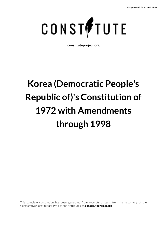

**constituteproject.org**

# **Korea (Democratic People's Republic of)'s Constitution of 1972 with Amendments through 1998**

This complete constitution has been generated from excerpts of texts from the repository of the Comparative Constitutions Project, and distributed on **constituteproject.org**.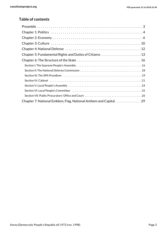## **Table of contents**

| Chapter 7: National Emblem, Flag, National Anthem and Capital 29 |
|------------------------------------------------------------------|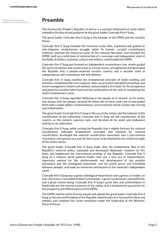## <span id="page-2-2"></span><span id="page-2-1"></span><span id="page-2-0"></span>**Preamble**

The Democratic People's Republic of Korea is a socialist fatherland of Juche which embodies the idea of and guidance by the great leader Comrade Kim II Sung.

The great leader Comrade Kim II Sung is the founder of the DPRK and the socialist Korea.

Comrade Kim II Sung founded the immortal Juche idea, organized and guided an anti-Japanese revolutionary struggle under its banner, created revolutionary tradition, attained the historical cause of the national liberation, and founded the DPRK, built up a solid basis of construction of a sovereign and independent state in the fields of politics, economy, culture and military, and founded the DPRK.

Comrade Kim II Sung put forward an independent revolutionary line, wisely guided the social revolution and construction at various levels, strengthened and developed the Republic into a people-centered socialist country and a socialist state of independence, self-sustenance, and self-defense.

Comrade Kim II Sung clarified the fundamental principle of State building and activities, established the most superior state social system and political method, and social management system and method, and provided a firm basis for the prosperous and powerful socialist fatherland and the continuation of the task of completing the Juche revolutionary cause.

Comrade Kim II Sung regarded "believing in the people as in heaven" as his motto, was always with the people, devoted his whole life to them, took care of and guided them with a noble politics of benevolence, and turned the whole society into one big and united family.

The great leader Comrade Kim II Sung is the sun of the nation and the lodestar of the reunification of the fatherland. Comrade Kim II Sung set the reunification of the country as the nation's supreme task, and devoted all his work and endeavors entirely to its realization.

Comrade Kim II Sung, while turning the Republic into a mighty fortress for national reunification, indicated fundamental principles and methods for national reunification, developed the national reunification movement into a pan-national movement, and opened up a way for that cause, to be attained by the united strength of the entire nation.

The great leader Comrade Kim II Sung made clear the fundamental idea of the Republic's external policy, expanded and developed diplomatic relations on this basis, and heightened the international prestige of the Republic. Comrade Kim II Sung as a veteran world political leader, hew out a new era of independence, vigorously worked for the reinforcement and development of the socialist movement and the nonaligned movement, and for world peace and friendship between peoples, and made an immortal contribution to the mankind's independent cause.

Comrade Kim II Sung was a genius ideological theoretician and a genius art leader, an ever-victorious, iron-willed brilliant commander, a great revolutionary and politician, and a great human being. Comrade Kim II Sung's great idea and achievements in leadership are the eternal treasures of the nation and a fundamental guarantee for the prosperity and efflorescence of the DPRK.

The DPRK and the entire Korean people will uphold the great leader Comrade Kim II Sung as the eternal President of the Republic, defend and carry forward his ideas and exploits and complete the Juche revolution under the leadership of the Workers' Party of Korea.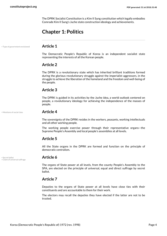The DPRK Socialist Constitution is a Kim II Sung constitution which legally embodies Comrade Kim II Sung's Juche state construction ideology and achievements.

## <span id="page-3-0"></span>**Chapter 1: Politics**

• Type of government envisioned **Article 1**

<span id="page-3-4"></span>The Democratic People's Republic of Korea is an independent socialist state representing the interests of all the Korean people.

## **Article 2**

The DPRK is a revolutionary state which has inherited brilliant traditions formed during the glorious revolutionary struggle against the imperialist aggressors, in the struggle to achieve the liberation of the homeland and the freedom and well-being of the people.

## **Article 3**

The DPRK is guided in its activities by the Juche idea, a world outlook centered on people, a revolutionary ideology for achieving the independence of the masses of people.

### • Mentions of social class **Article 4**

<span id="page-3-2"></span>The sovereignty of the DPRK resides in the workers, peasants, working intellectuals and all other working people.

The working people exercise power through their representative organs—the Supreme People's Assembly and local people's assemblies at all levels.

## **Article 5**

All the State organs in the DPRK are formed and function on the principle of democratic centralism.

<span id="page-3-3"></span>• Secret ballot **Article 6** • Claim of universal suffrage

<span id="page-3-1"></span>The organs of State power at all levels, from the county People's Assembly to the SPA, are elected on the principle of universal, equal and direct suffrage by secret ballot.

## **Article 7**

Deputies to the organs of State power at all levels have close ties with their constituents and are accountable to them for their work.

The electors may recall the deputies they have elected if the latter are not to be trusted.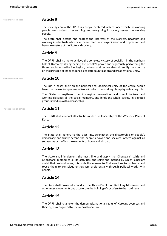• Mentions of social class **Article 8**

The social system of the DPRK is a people-centered system under which the working people are masters of everything, and everything in society serves the working people.

The State shall defend and protect the interests of the workers, peasants and working intellectuals who have been freed from exploitation and oppression and become masters of the State and society.

## **Article 9**

The DPRK shall strive to achieve the complete victory of socialism in the northern half of Korea by strengthening the people's power and vigorously performing the three revolutions—the ideological, cultural and technical—and reunify the country on the principle of independence, peaceful reunification and great national unity.

<span id="page-4-0"></span>

### • Mentions of social class **Article 10**

The DPRK bases itself on the political and ideological unity of the entire people based on the worker-peasant alliance in which the working class plays a leading role.

The State strengthens the ideological revolution and revolutionizes and working-classizes all the social members, and binds the whole society in a united group, linked up with comradeship.

## • Preferred political parties **Article 11**

<span id="page-4-1"></span>The DPRK shall conduct all activities under the leadership of the Workers' Party of Korea.

## **Article 12**

The State shall adhere to the class line, strengthen the dictatorship of people's democracy and firmly defend the people's power and socialist system against all subversive acts of hostile elements at home and abroad.

## **Article 13**

The State shall implement the mass line and apply the Chongsanri spirit and Chongsanri method to all its activities, the spirit and method by which superiors assist their subordinates, mix with the masses to find solutions to problems and rouse them to conscious enthusiasm preferentially through political work, with people.

## **Article 14**

The State shall powerfully conduct the Three-Revolution Red Flag Movement and other mass movements and accelerate the building of socialism to the maximum.

## **Article 15**

The DPRK shall champion the democratic, national rights of Koreans overseas and their rights recognized by the international law.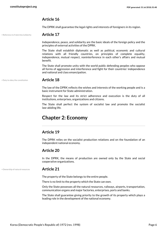The DPRK shall guarantee the legal rights and interests of foreigners in its region.

• Reference to fraternity/solidarity **Article 17**

<span id="page-5-3"></span>Independence, peace, and solidarity are the basic ideals of the foreign policy and the principles of external activities of the DPRK.

The State shall establish diplomatic as well as political, economic and cultural relations with all friendly countries, on principles of complete equality, independence, mutual respect, noninterference in each other's affairs and mutual benefit.

The State shall promote unity with the world public defending peoples who oppose all forms of aggression and interference and fight for their countries' independence and national and class emancipation.

### • Duty to obey the constitution **Article 18**

<span id="page-5-1"></span>The law of the DPRK reflects the wishes and interests of the working people and is a basic instrument for State administration.

Respect for the law and its strict adherence and execution is the duty of all institutions, enterprises, organizations and citizens.

The State shall perfect the system of socialist law and promote the socialist law-abiding life.

## <span id="page-5-0"></span>**Chapter 2: Economy**

## **Article 19**

The DPRK relies on the socialist production relations and on the foundation of an independent national economy.

## **Article 20**

In the DPRK, the means of production are owned only by the State and social cooperative organizations.

### • Ownership of natural resources **Article 21**

<span id="page-5-2"></span>The property of the State belongs to the entire people.

There is no limit to the property which the State can own.

Only the State possesses all the natural resources, railways, airports, transportation, communication organs and major factories, enterprises, ports and banks.

The State shall guarantee giving priority to the growth of its property which plays a leading role in the development of the national economy.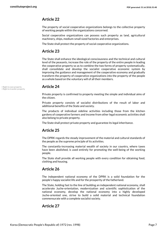The property of social cooperative organizations belongs to the collective property of working people within the organizations concerned.

Social cooperative organizations can possess such property as land, agricultural machinery, ships, medium-small sized factories and enterprises.

The State shall protect the property of social cooperative organizations.

## **Article 23**

The State shall enhance the ideological consciousness and the technical and cultural level of the peasants, increase the role of the property of the entire people in leading the cooperative property so as to combine the two forms of property systematically, shall consolidate and develop the socialist cooperative economic system by improving the guidance and management of the cooperative economy and gradually transform the property of cooperative organizations into the property of the people as a whole based on the voluntary will of all their members.

<span id="page-6-0"></span>• Right to own property **Article 24** • Right to transfer property

<span id="page-6-1"></span>Private property is confirmed to property meeting the simple and individual aims of the citizen.

Private property consists of socialist distributions of the result of labor and additional benefits of the State and society.

The products of individual sideline activities including those from the kitchen gardens of cooperative farmers and income from other legal economic activities shall also belong to private property.

The State shall protect private property and guarantee its legal inheritance.

## **Article 25**

The DPRK regards the steady improvement of the material and cultural standards of the people as the supreme principle of its activities.

The constantly-increasing material wealth of society in our country, where taxes have been abolished, is used entirely for promoting the well-being of the working people.

The State shall provide all working people with every condition for obtaining food, clothing and housing.

## **Article 26**

The independent national economy of the DPRK is a solid foundation for the people's happy socialist life and for the prosperity of the fatherland.

The State, holding fast to the line of building an independent national economy, shall accelerate Juche-orientation, modernization and scientific sophistication of the national economy, develop the national economy into a highly developed Juche-oriented one, strive to build a solid material and technical foundation commensurate with a complete socialist society.

## **Article 27**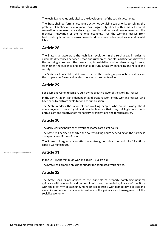The technical revolution is vital to the development of the socialist economy.

The State shall perform all economic activities by giving top priority to solving the problem of technical development, push vigorously ahead with a mass technical revolution movement by accelerating scientific and technical development and the technical innovation of the national economy, free the working masses from backbreaking labor and narrow down the differences between physical and mental labor.

<span id="page-7-1"></span>

## • Mentions of social class **Article 28**

The State shall accelerate the technical revolution in the rural areas in order to eliminate differences between urban and rural areas, and class distinctions between the working class and the peasantry, industrialize and modernize agriculture, strengthen the guidance and assistance to rural areas by enhancing the role of the county.

The State shall undertake, at its own expense, the building of production facilities for the cooperative farms and modern houses in the countryside.

## **Article 29**

Socialism and Communism are built by the creative labor of the working masses.

In the DPRK, labor is an independent and creative work of the working masses, who have been freed from exploitation and suppression.

The State renders the labor of our working people, who do not worry about unemployment, more joyful and worthwhile, so that they willingly work with enthusiasm and creativeness for society, organizations and for themselves.

## **Article 30**

The daily working hours of the working masses are eight hours.

The State will decide to shorten the daily working hours depending on the hardness and special conditions of labor.

The State shall organize labor effectively, strengthen labor rules and take fully utilize labor's working hours.

• Limits on employment of children **Article 31**

<span id="page-7-0"></span>In the DPRK, the minimum working age is 16 years old.

The State shall prohibit child labor under the stipulated working age.

## **Article 32**

The State shall firmly adhere to the principle of properly combining political guidance with economic and technical guidance, the unified guidance of the State with the creativity of each unit, monolithic leadership with democracy, political and moral incentives with material incentives in the guidance and management of the socialist economy.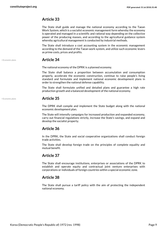The State shall guide and manage the national economy according to the Taean Work System, which is a socialist economic management form whereby the economy is operated and managed in a scientific and rational way depending on the collective power of the producing masses, and according to the agricultural guidance system whereby agricultural management is conducted by industrial methods.

The State shall introduce a cost accounting system in the economic management according to the demand of the Taean work system, and utilize such economic levers as prime costs, prices and profits.

### • Economic plans **Article 34**

The national economy of the DPRK is a planned economy.

The State shall balance a proportion between accumulation and consumption properly, accelerate the economic construction, continue to raise people's living standard and formulate and implement national economic development plans in order to strengthen the national defense capability.

The State shall formulate unified and detailed plans and guarantee a high rate production growth and a balanced development of the national economy.

### <span id="page-8-0"></span>• Economic plans **Article 35**

The DPRK shall compile and implement the State budget along with the national economic development plan.

The State will intensify campaigns for increased production and expanded economy, carry out financial regulations strictly, increase the State's savings, and expand and develop the socialist property.

## **Article 36**

In the DPRK, the State and social cooperative organizations shall conduct foreign trade activities.

The State shall develop foreign trade on the principles of complete equality and mutual benefit.

## **Article 37**

The State shall encourage institutions, enterprises or associations of the DPRK to establish and operate equity and contractual joint venture enterprises with corporations or individuals of foreign countries within a special economic zone.

## **Article 38**

The State shall pursue a tariff policy with the aim of protecting the independent national economy.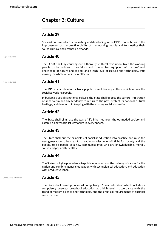## <span id="page-9-0"></span>**Chapter 3: Culture**

## **Article 39**

Socialist culture, which is flourishing and developing in the DPRK, contributes to the improvement of the creative ability of the working people and to meeting their sound cultural and aesthetic demands.

• Right to culture **Article 40**

The DPRK shall, by carrying out a thorough cultural revolution, train the working people to be builders of socialism and communism equipped with a profound knowledge of nature and society and a high level of culture and technology, thus making the whole of society intellectual.

<span id="page-9-2"></span>

### • Right to culture **Article 41**

The DPRK shall develop a truly popular, revolutionary culture which serves the socialist working people.

In building a socialist national culture, the State shall oppose the cultural infiltration of imperialism and any tendency to return to the past, protect its national cultural heritage, and develop it in keeping with the existing socialist situation.

## **Article 42**

The State shall eliminate the way of life inherited from the outmoded society and establish a new socialist way of life in every sphere.

## **Article 43**

The State shall put the principles of socialist education into practice and raise the new generation to be steadfast revolutionaries who will fight for society and the people, to be people of a new communist type who are knowledgeable, morally sound and physically healthy.

## **Article 44**

The State shall give precedence to public education and the training of cadres for the nation and combine general education with technological education, and education with productive labor.

<span id="page-9-1"></span>

## • Compulsory education **Article 45**

The State shall develop universal compulsory 11-year education which includes a compulsory one-year preschool education at a high level in accordance with the trend of modern science and technology and the practical requirements of socialist construction.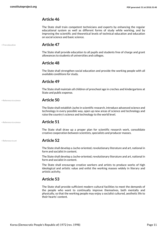The State shall train competent technicians and experts by enhancing the regular educational system as well as different forms of study while working, and by improving the scientific and theoretical levels of technical education and education on social science and basic science.

<span id="page-10-0"></span>

## • Free education **Article 47**

The State shall provide education to all pupils and students free of charge and grant allowances to students of universities and colleges.

## **Article 48**

The State shall strengthen social education and provide the working people with all available conditions for study.

## **Article 49**

The State shall maintain all children of preschool age in creches and kindergartens at State and public expense.

| • Reference to science | <b>Article 50</b> |
|------------------------|-------------------|
|------------------------|-------------------|

The State shall establish Juche in scientific research, introduce advanced science and technology in every possible way, open up new areas of science and technology and raise the country's science and technology to the world level.

<span id="page-10-2"></span>

## • Reference to science **Article 51**

The State shall draw up a proper plan for scientific research work, consolidate creative cooperation between scientists, specialists and producer masses.

## <span id="page-10-1"></span>• Reference to art **Article 52**

The State shall develop a Juche-oriented, revolutionary literature and art, national in form and socialist in content.

The State shall develop a Juche-oriented, revolutionary literature and art, national in form and socialist in content.

The State shall encourage creative workers and artists to produce works of high ideological and artistic value and enlist the working masses widely in literary and artistic activity.

## **Article 53**

The State shall provide sufficient modern cultural facilities to meet the demands of the people who want to continually improve themselves, both mentally and physically, so that the working people may enjoy a socialist cultured, aesthetic life to their hearts' content.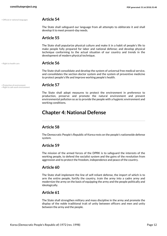• Official or national languages **Article 54**

## <span id="page-11-3"></span>• Right to health care **Article 56**

**Article 55**

develop it to meet present-day needs.

development of modern physical technique.

The State shall consolidate and develop the system of universal free medical service, and consolidates the section doctor system and the system of preventive medicine to protect people's life and improve working people's health.

<span id="page-11-1"></span>The State shall safeguard our language from all attempts to obliterate it and shall

The State shall popularize physical culture and make it in a habit of people's life to make people fully prepared for labor and national defense; and develop physical technique conforming to the actual situation of our country and trends in the

• Protection of environment **Article 57** • Right to safe work environment

<span id="page-11-4"></span><span id="page-11-2"></span>The State shall adopt measures to protect the environment in preference to production, preserve and promote the natural environment and prevent environmental pollution so as to provide the people with a hygienic environment and working conditions.

## <span id="page-11-0"></span>**Chapter 4: National Defense**

## **Article 58**

The Democratic People's Republic of Korea rests on the people's nationwide defense system.

## **Article 59**

The mission of the armed forces of the DPRK is to safeguard the interests of the working people, to defend the socialist system and the gains of the revolution from aggression and to protect the freedom, independence and peace of the country.

## **Article 60**

The State shall implement the line of self-reliant defense, the import of which is to arm the entire people, fortify the country, train the army into a cadre army and modernize the army on the basis of equipping the army and the people politically and ideologically.

## **Article 61**

The State shall strengthen military and mass discipline in the army and promote the display of the noble traditional trait of unity between officers and men and unity between the army and the people.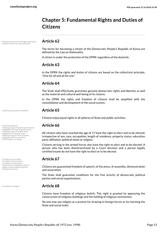## <span id="page-12-0"></span>**Chapter 5: Fundamental Rights and Duties of Citizens**

• Requirements for birthright citizenship **Article 62** • Requirements for naturalization

<span id="page-12-15"></span><span id="page-12-14"></span>The terms for becoming a citizen of the Democratic People's Republic of Korea are defined by the Law on Nationality.

A citizen is under the protection of the DPRK regardless of the domicile.

## **Article 63**

In the DPRK the rights and duties of citizens are based on the collectivist principle, "One for all and all for one."

## **Article 64**

The State shall effectively guarantee genuine democratic rights and liberties as well as the material and cultural well-being of its citizens.

In the DPRK the rights and freedom of citizens shall be amplified with the consolidation and development of the social system.

## • General guarantee of equality **Article 65**

<span id="page-12-10"></span>Citizens enjoy equal rights in all spheres of State and public activities.

<span id="page-12-13"></span><span id="page-12-12"></span><span id="page-12-11"></span><span id="page-12-4"></span><span id="page-12-3"></span><span id="page-12-2"></span>All citizens who have reached the age of 17 have the right to elect and to be elected, irrespective of sex, race, occupation, length of residence, property status, education party affiliation, political views or religion.

Citizens serving in the armed forces also have the right to elect and to be elected. A person who has been disenfranchised by a Court decision and a person legally certified insane do not have the right to elect or to be elected.

## • Freedom of assembly **Article 67** • Freedom of association

<span id="page-12-18"></span><span id="page-12-16"></span><span id="page-12-7"></span><span id="page-12-6"></span>Citizens are guaranteed freedom of speech, of the press, of assembly, demonstration and association.

The State shall guarantee conditions for the free activity of democratic political parties and social organizations.

## • Freedom of religion **Article 68**

Citizens have freedom of religious beliefs. This right is granted by approving the construction of religious buildings and the holding of religious ceremonies.

No one may use religion as a pretext for drawing in foreign forces or for harming the State and social order.

<span id="page-12-1"></span>

- Attorney general **Article 66** Minimum age of head of government Eligibility for head of government
- 
- Minimum age of head of state • Eligibility for head of state
- Minimum age for first chamber
- <span id="page-12-17"></span>• Eligibility for first chamber • Restrictions on voting

- <span id="page-12-5"></span>
- Freedom of expression
- <span id="page-12-8"></span>**Restrictions on political parties**
- Right to form political parties Freedom of press

<span id="page-12-9"></span>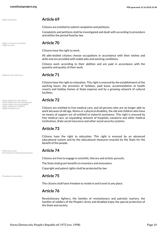<span id="page-13-3"></span>

## • Right of petition **Article 69**

Citizens are entitled to submit complaints and petitions.

Complaints and petitions shall be investigated and dealt with according to procedure and within the period fixed by law.

## <span id="page-13-7"></span>• Right to choose occupation **Article 70** • Right to work

<span id="page-13-4"></span>Citizens have the right to work.

All able-bodied citizens choose occupations in accordance with their wishes and skills and are provided with stable jobs and working conditions.

Citizens work according to their abilities and are paid in accordance with the quantity and quality of their work.

## • Right to rest and leisure **Article 71**

<span id="page-13-6"></span>Citizens have the right to relaxation. This right is ensured by the establishment of the working hours, the provision of holidays, paid leave, accommodation at health resorts and holiday homes at State expense and by a growing network of cultural facilities.

## • State support for the elderly<br>• State support for the unemployed **Article 72**<br>• State support for the disabled

<span id="page-13-11"></span><span id="page-13-10"></span><span id="page-13-9"></span><span id="page-13-8"></span>Citizens are entitled to free medical care, and all persons who are no longer able to work because of old age, illness or a physical disability, the old and children who have no means of support are all entitled to material assistance. This right is ensured by free medical care, an expanding network of hospitals, sanatoria and other medical institutions, State social insurance and other social security systems.

## **Article 73**

Citizens have the right to education. This right is ensured by an advanced educational system and by the educational measures enacted by the State for the benefit of the people.

<span id="page-13-1"></span>Citizens are free to engage in scientific, literary and artistic pursuits.

The State shall grant benefits to inventors and innovators.

Copyright and patent rights shall be protected by law.

## <span id="page-13-0"></span>• Freedom of movement **Article 75**

The citizens shall have freedom to reside in and travel to any place.

## **Article 76**

Revolutionary fighters, the families of revolutionary and patriotic martyrs, the families of soldiers of the People's Army and disabled enjoy the special protection of the State and society.

<span id="page-13-2"></span>• Reference to art **Article 74** • Provisions for intellectual property

<span id="page-13-5"></span>• State support for children<br>• Right to health care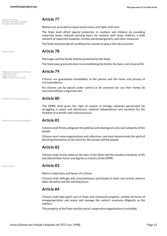## <span id="page-14-10"></span>• Rights of children **Article 77** • Equality regardless of gender • Equality regardless of age

<span id="page-14-2"></span><span id="page-14-1"></span>Women are accorded an equal social status and rights with men.

The State shall afford special protection to mothers and children by providing maternity leave, reduced working hours for mothers with many children, a wide network of maternity hospitals, creches and kindergartens, and other measures.

The State shall provide all conditions for women to play a full role in society.

## <span id="page-14-8"></span>• Right to marry **Article 78**

Marriages and the family shall be protected by the State.

The State pays great attention to consolidating the family, the basic unit of social life.

## <span id="page-14-3"></span>• Regulation of evidence collection **Article 79** • Inalienable rights

<span id="page-14-7"></span><span id="page-14-6"></span>Citizens are guaranteed inviolability of the person and the home and privacy of correspondence.

No citizens can be placed under control or be arrested nor can their homes be searched without a legal warrant.

### • Protection of stateless persons **Article 80**

<span id="page-14-4"></span>The DPRK shall grant the right of asylum to foreign nationals persecuted for struggling or peace and democracy, national independence and socialism for the freedom of scientific and cultural pursuit.

• Reference to fraternity/solidarity **Article 81**

<span id="page-14-9"></span>• Right to privacy<br>• Right to equal pay for work

<span id="page-14-5"></span>Citizens shall firmly safeguard the political and ideological unity and solidarity of the people.

Citizens must value organizations and collectives, and must demonstrate the spirit of devoting themselves to the work for the society and the people.

## **Article 82**

Citizens shall strictly observe the laws of the State and the socialist standards of life and defend their honor and dignity as citizens of the DPRK.

<span id="page-14-0"></span>

### • Duty to work **Article 83**

Work is noble duty and honor of a citizen.

Citizens shall willingly and conscientiously participate in work and strictly observe labor discipline and the working hours.

## **Article 84**

Citizens shall take good care of State and communal property, combat all forms of misappropriation and waste and manage the nation's economy diligently as the masters.

The property of the State and the social, cooperative organization is inviolable.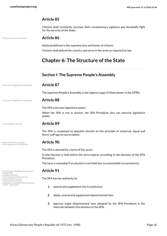Citizens shall constantly increase their revolutionary vigilance and devotedly fight for the security of the State.

• Duty to serve in the military **Article 86**

<span id="page-15-5"></span>National defense is the supreme duty and honor of citizens. Citizens shall defend the country and serve in the army as required by law.

## <span id="page-15-0"></span>**Chapter 6: The Structure of the State**

## <span id="page-15-1"></span>**Section I: The Supreme People's Assembly**

• Structure of legislative chamber(s) **Article 87**

The Supreme People's Assembly is the highest organ of State power in the DPRK.

## • Structure of legislative chamber(s) **Article 88**

<span id="page-15-12"></span>The SPA exercises legislative power.

When the SPA is not in session, the SPA Presidium also can exercise legislative power.

<span id="page-15-6"></span>

• First chamber selection **Article 89**

The SPA is composed of deputies elected on the principle of universal, equal and direct suffrage by secret ballot.

## • Head of state term length **Article 90** • Term length for first chamber

<span id="page-15-13"></span><span id="page-15-10"></span>The SPA is elected for a term of five years.

A new election is held before the term expires according to the decision of the SPA Presidium.

The term is extended if an election is not held due to unavoidable circumstances.

<span id="page-15-11"></span><span id="page-15-9"></span><span id="page-15-7"></span><span id="page-15-4"></span>The SPA has the authority to:

- **1.** amend and supplement the Constitution,
- **2.** adopt, amend and supplement departmental laws,
- **3.** approve major departmental laws adopted by the SPA Presidium in the intervals between the sessions of the SPA,

<span id="page-15-2"></span>• Constitution amendment procedure **Article 91** • Budget bills • Cabinet selection

- 
- <span id="page-15-3"></span>
- <span id="page-15-8"></span>• Head of government removal • Head of state removal
- Head of state selection
- <span id="page-15-14"></span>• Legislative oversight of the executive • Treaty ratification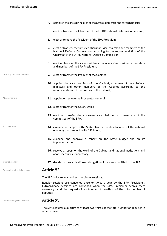<span id="page-16-3"></span><span id="page-16-0"></span>**4.** establish the basic principles of the State's domestic and foreign policies, **5.** elect or transfer the Chairman of the DPRK National Defense Commission, **6.** elect or remove the President of the SPA Presidium, **7.** elect or transfer the first vice-chairman, vice-chairmen and members of the National Defense Commission according to the recommendation of the Chairman of the DPRK National Defense Commission, **8.** elect or transfer the vice-presidents, honorary vice presidents, secretary and members of the SPA Presidium, • Head of government selection **9.** elect or transfer the Premier of the Cabinet. **10.** appoint the vice premiers of the Cabinet, chairmen of commissions, ministers and other members of the Cabinet according to the recommendation of the Premier of the Cabinet, \* Attorney general **11.** appoint or remove the Prosecutor-general, **12.** elect or transfer the Chief Justice, **13.** elect or transfer the chairmen, vice chairmen and members of the committees of the SPA, **14.** examine and approve the State plan for the development of the national economy and a report on its fulfillment, • Economic plans **15.** examine and approve a report on the State budget and on its implementation, **16.** receive a report on the work of the Cabinet and national institutions and adopt measures, if necessary, • International law **17.** decide on the ratification or abrogation of treaties submitted to the SPA. • Extraordinary legislative sessions **Article 92** The SPA holds regular and extraordinary sessions. Regular sessions are convened once or twice a year by the SPA Presidium . Extraordinary sessions are convened when the SPA Presidium deems them necessary or at the request of a minimum of one-third of the total number of deputies.

<span id="page-16-4"></span><span id="page-16-1"></span>• Quorum for legislative sessions **Article 93**

<span id="page-16-5"></span><span id="page-16-2"></span>The SPA requires a quorum of at least two-thirds of the total number of deputies in order to meet.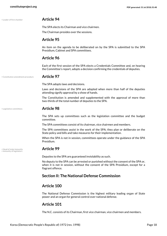<span id="page-17-4"></span>

## • Leader of first chamber **Article 94**

The SPA elects its Chairman and vice chairmen.

The Chairman presides over the sessions.

## **Article 95**

An item on the agenda to be deliberated on by the SPA is submitted to the SPA Presidium, Cabinet and SPA committees.

## **Article 96**

Each of the first session of the SPA elects a Credentials Committee and, on hearing the Committee's report, adopts a decision confirming the credentials of deputies.

• Constitution amendment procedure **Article 97**

<span id="page-17-1"></span>The SPA adopts laws and decisions.

Laws and decisions of the SPA are adopted when more than half of the deputies attending signify approval by a show of hands.

The Constitution is amended and supplemented with the approval of more than two-thirds of the total number of deputies to the SPA.

<span id="page-17-5"></span>

## • Legislative committees **Article 98**

The SPA sets up committees such as the legislation committee and the budget committee.

The SPA committees consist of its chairman, vice chairmen and members.

The SPA committees assist in the work of the SPA; they plan or deliberate on the State policy and bills and take measures for their implementation.

When the SPA is not in session, committees operate under the guidance of the SPA Presidium.

## • Head of state immunity<br>• Immunity of legislators

<span id="page-17-3"></span><span id="page-17-2"></span>Deputies to the SPA are guaranteed inviolability as such.

No deputy to the SPA can be arrested or punished without the consent of the SPA or, when it is not in session, without the consent of the SPA Presidium, except for a flagrant offence.

## <span id="page-17-0"></span>**Section II: The National Defense Commission**

## **Article 100**

The National Defense Commission is the highest military leading organ of State power and an organ for general control over national defense.

## **Article 101**

The N.C. consists of its Chairman, first vice chairman, vice chairmen and members.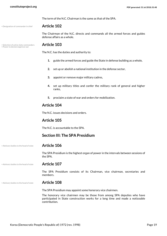• Designation of commander in chief **Article 102**

<span id="page-18-2"></span>The Chairman of the N.C. directs and commands all the armed forces and guides defense affairs as a whole.

## • Selection of active-duty commanders **Article 103** • Power to declare/approve war

<span id="page-18-4"></span><span id="page-18-3"></span>The N.C. has the duties and authority to:

- **1.** guide the armed forces and guide the State in defense building as a whole,
- **2.** set up or abolish a national institution in the defense sector,
- **3.** appoint or remove major military cadres,

The term of the N.C. Chairman is the same as that of the SPA.

- **4.** set up military titles and confer the military rank of general and higher ranks,
- **5.** proclaim a state of war and orders for mobilization.

## **Article 104**

The N.C. issues decisions and orders.

## **Article 105**

The N.C. is accountable to the SPA.

## <span id="page-18-0"></span>**Section III: The SPA Presidium**

• Advisory bodies to the head of state **Article 106**

The SPA Presidium is the highest organ of power in the intervals between sessions of the SPA.

• Advisory bodies to the head of state **Article 107**

The SPA Presidium consists of its Chairman, vice chairman, secretaries and members.

### • Advisory bodies to the head of state **Article 108**

<span id="page-18-1"></span>The SPA Presidium may appoint some honorary vice chairmen.

The honorary vice chairmen may be those from among SPA deputies who have participated in State construction works for a long time and made a noticeable contribution.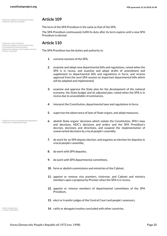<span id="page-19-6"></span>• Supreme/ordinary court judge removal

<span id="page-19-3"></span>The term of the SPA Presidium is the same as that of the SPA.

The SPA Presidium continuously fulfill its duty after its term expires until a new SPA Presidium is elected.

## • Supreme court selection **Article 110** • Advisory bodies to the head of state • Constitutional interpretation

<span id="page-19-8"></span><span id="page-19-7"></span><span id="page-19-1"></span><span id="page-19-0"></span>The SPA Presidium has the duties and authority to

- **1.** convene sessions of the SPA,
- **2.** examine and adopt new departmental bills and regulations, raised when the SPA is in recess, and examine and adopt drafts of amendment and supplement to departmental bills and regulations in force, and receive approval from the next SPA session on important departmental bills which will be adopted and implemented,
- **3.** examine and approve the State plan for the development of the national economy, the State budget and its adjusted plan, raised when the SPA is in recess due to unavoidable circumstances,
- **4.** interpret the Constitution, departmental laws and regulations in force.
- **5.** supervise the observance of laws of State organs, and adopt measures,
- <span id="page-19-2"></span>**6.** abolish State organs' decisions which violate the Constitution, SPA's laws and decisions, NDC's decisions and orders and the SPA Presidium's decrees, decisions and directions, and suspend the implementation of unwarranted decisions by a local people's assembly,
- **7.** do work for an SPA deputy election, and organize an election for deputies in a local people's assembly,
- **8.** do work with SPA deputies,
- **9.** do work with SPA departmental committees,
- **10.** form or abolish commissions and ministries of the Cabinet,
- **11.** appoint or remove vice premiers, chairman, and Cabinet and ministry members upon a proposal by Premier when the SPA is in recess,
- **12.** appoint or remove members of departmental committees of the SPA Presidium,
- **13.** elect or transfer judges of the Central Court and people's assessors,
- <span id="page-19-4"></span>**•** International law **14.** ratify or abrogate treaties concluded with other countries,

<span id="page-19-9"></span>• Treaty ratification

<span id="page-19-5"></span>

• Federal review of subnational legislation • National vs subnational laws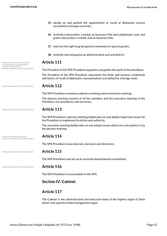<span id="page-20-5"></span><span id="page-20-4"></span><span id="page-20-3"></span><span id="page-20-2"></span><span id="page-20-1"></span><span id="page-20-0"></span>

|                                                                        | 15. decide on and publish the appointment or recall of diplomatic envoys<br>accredited to foreign countries,                                                           |  |  |  |  |
|------------------------------------------------------------------------|------------------------------------------------------------------------------------------------------------------------------------------------------------------------|--|--|--|--|
|                                                                        | 16. institute a decoration, a medal, an honorary title and a diplomatic rank, and<br>grant a decoration, a medal, and an honorary title,                               |  |  |  |  |
|                                                                        | 17. exercise the right to grant general amnesties or special pardon,                                                                                                   |  |  |  |  |
|                                                                        | 18. institute and reorganize an administration unit and district.                                                                                                      |  |  |  |  |
| • Name/structure of executive(s)<br>· Foreign affairs representative   | <b>Article 111</b>                                                                                                                                                     |  |  |  |  |
| • Head of state powers<br>. Advisory bodies to the head of state       | The President of the SPA Presidium organizes and guides the work of the presidium.                                                                                     |  |  |  |  |
|                                                                        | The President of the SPA Presidium represents the State and receives credentials<br>and letters of recall of diplomatic representatives accredited by a foreign state. |  |  |  |  |
| • Advisory bodies to the head of state                                 | <b>Article 112</b>                                                                                                                                                     |  |  |  |  |
|                                                                        | The SPA Presidium convenes a plenary meeting and an executive meeting.                                                                                                 |  |  |  |  |
|                                                                        | The plenary meeting consists of all the members and the executive meeting of the<br>President, vice presidents, and secretary.                                         |  |  |  |  |
| • Advisory bodies to the head of state                                 | <b>Article 113</b>                                                                                                                                                     |  |  |  |  |
|                                                                        | The SPA Presidium's plenary meeting deliberates on and adopts important issues for<br>the Presidium to implement its duties and authority.                             |  |  |  |  |
|                                                                        | The executive meeting deliberates on and adopts issues which are entrusted to it by<br>the plenary meeting.                                                            |  |  |  |  |
| • Head of state decree power<br>. Advisory bodies to the head of state | <b>Article 114</b>                                                                                                                                                     |  |  |  |  |
|                                                                        | The SPA Presidium issues decrees, decisions and directions.                                                                                                            |  |  |  |  |
| . Advisory bodies to the head of state                                 | <b>Article 115</b>                                                                                                                                                     |  |  |  |  |
|                                                                        | The SPA Presidium may set up its assistant departmental committees.                                                                                                    |  |  |  |  |
| • Advisory bodies to the head of state                                 | <b>Article 116</b>                                                                                                                                                     |  |  |  |  |
|                                                                        | The SPA Presidium is accountable to the SPA.                                                                                                                           |  |  |  |  |
|                                                                        | <b>Section IV: Cabinet</b>                                                                                                                                             |  |  |  |  |
|                                                                        | <b>Article 117</b>                                                                                                                                                     |  |  |  |  |
|                                                                        | The Cabinet is the administrative and executive body of the highest organ of State<br>power and a general state management organ.                                      |  |  |  |  |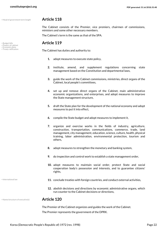• Head of government term length **Article 118**

<span id="page-21-6"></span><span id="page-21-5"></span><span id="page-21-1"></span>• Powers of cabinet<br>• Economic plans<br>• Treaty ratification

<span id="page-21-2"></span>The Cabinet consists of the Premier, vice premiers, chairmen of commissions, ministers and some other necessary members.

The Cabinet's term is the same as that of the SPA.

## <span id="page-21-0"></span>**• Budget bills <b>Article 119**

The Cabinet has duties and authority to:

- **1.** adopt measures to execute state policy,
- **2.** institute, amend, and supplement regulations concerning state management based on the Constitution and departmental laws,
- **3.** guide the work of the Cabinet commissions, ministries, direct organs of the Cabinet, local people's committees,
- **4.** set up and remove direct organs of the Cabinet, main administrative economic organizations, and enterprises, and adopt measures to improve the State management structure,
- **5.** draft the State plan for the development of the national economy and adopt measures to put it into effect,
- **6.** compile the State budget and adopt measures to implement it,
- **7.** organize and exercise works in the fields of industry, agriculture, construction, transportation, communications, commerce, trade, land management, city management, education, science, culture, health, physical training, labor administration, environmental protection, tourism and others,
- **8.** adopt measures to strengthen the monetary and banking system,
- **9.** do inspection and control work to establish a state management order,
- **10.** adopt measures to maintain social order, protect State and social cooperation body's possession and interests, and to guarantee citizens' rights,

- <span id="page-21-3"></span>
- **I1.** conclude treaties with foreign countries, and conduct external activities,  $\blacksquare$ 
	- **12.** abolish decisions and directions by economic administrative organs, which run counter to the Cabinet decisions or directions,

### • Name/structure of executive(s) **Article 120**

<span id="page-21-4"></span>The Premier of the Cabinet organizes and guides the work of the Cabinet. The Premier represents the government of the DPRK.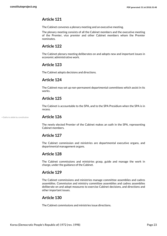The Cabinet convenes a plenary meeting and an executive meeting.

The plenary meeting consists of all the Cabinet members and the executive meeting of the Premier, vice premier and other Cabinet members whom the Premier nominates.

## **Article 122**

The Cabinet plenary meeting deliberates on and adopts new and important issues in economic administrative work.

## **Article 123**

The Cabinet adopts decisions and directions.

## **Article 124**

The Cabinet may set up non-permanent departmental committees which assist in its works.

## **Article 125**

The Cabinet is accountable to the SPA, and to the SPA Presidium when the SPA is in recess.

• Oaths to abide by constitution **Article 126**

<span id="page-22-0"></span>The newly elected Premier of the Cabinet makes an oath in the SPA, representing Cabinet members.

## **Article 127**

The Cabinet commission and ministries are departmental executive organs, and departmental management organs.

## **Article 128**

The Cabinet commissions and ministries grasp, guide and manage the work in charge, under the guidance of the Cabinet.

## **Article 129**

The Cabinet commissions and ministries manage committee assemblies and cadres assemblies. Commission and ministry committee assemblies and cadres assemblies deliberate on and adopt measures to exercise Cabinet decisions, and directions and other important issues.

## **Article 130**

The Cabinet commissions and ministries issue directions.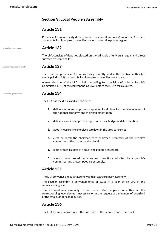## <span id="page-23-0"></span>**Section V: Local People's Assembly**

## **Article 131**

Provincial (or municipality directly under the central authority), municipal (district), and county local people's assemblies are local sovereign power organs.

## • Municipal government **Article 132**

The LPA consists of deputies elected on the principle of universal, equal and direct suffrage by secret ballot.

## • Ordinary court term length **Article 133**

<span id="page-23-2"></span>The term of provincial (or municipality directly under the central authority), municipal (district), and county local people's assemblies are four years.

A new election of the LPA is held according to a decision of a Local People's Committee (LPC) at the corresponding level before the LPA's term expires.

## <span id="page-23-1"></span>• Municipal government **Article 134**

The LPA has the duties and authority to:

- **1.** deliberate on and approve a report on local plans for the development of the national economy, and their implementation,
- **2.** deliberate on and approve a report on a local budget and its execution,
- **3.** adopt measures to exercise State laws in the area concerned,
- **4.** elect or recall the chairman, vice chairmen, secretary of the people's committee at the corresponding level,
- **5.** elect or recall judges of a court and people's assessors,
- **6.** abolish unwarranted decisions and directions adopted by a people's committee, and a lower people's assembly.

## **Article 135**

The LPA convenes a regular assembly and an extraordinary assembly.

The regular assembly is convened once or twice in a year by an LPC at the corresponding level.

The extraordinary assembly is held when the people's committee at the corresponding level deems it necessary or at the request of a minimum of one-third of the total numbers of deputies.

## **Article 136**

The LPA forms a quorum when the two-third of the deputies participate in it.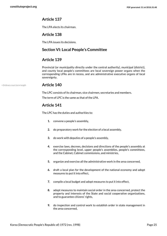The LPA elects its chairman.

## **Article 138**

<span id="page-24-0"></span>The LPA issues its decisions.

## **Section VI: Local People's Committee**

## **Article 139**

Provincial (or municipality directly under the central authority), municipal (district), and county local people's committees are local sovereign power organs when the corresponding LPAs are in recess, and are administrative executive organs of local sovereignty.

## • Ordinary court term length **Article 140**

<span id="page-24-1"></span>The LPC consists of its chairman, vice chairmen, secretaries and members.

The term of LPC is the same as that of the LPA.

## **Article 141**

The LPC has the duties and authorities to:

- **1.** convene a people's assembly,
- **2.** do preparatory work for the election of a local assembly,
- **3.** do work with deputies of a people's assembly,
- **4.** exercise laws, decrees, decisions and directions of the people's assembly at the corresponding level, upper people's assemblies, people's committees, and the Cabinet, Cabinet commissions, and ministries,
- **5.** organize and exercise all the administrative work in the area concerned,
- **6.** draft a local plan for the development of the national economy and adopt measures to put it into effect,
- **7.** compile a local budget and adopt measures to put it into effect,
- **8.** adopt measures to maintain social order in the area concerned, protect the property and interests of the State and social cooperative organizations, and to guarantee citizens' rights,
- **9.** do inspection and control work to establish order in state management in the area concerned,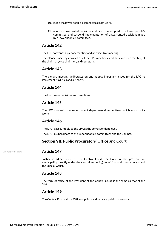- **10.** guide the lower people's committees in its work,
- **11.** abolish unwarranted decisions and direction adopted by a lower people's committee, and suspend implementation of unwarranted decisions made by a lower people's committee.

The LPC convenes a plenary meeting and an executive meeting.

The plenary meeting consists of all the LPC members, and the executive meeting of the chairman, vice chairmen, and secretary.

## **Article 143**

The plenary meeting deliberates on and adopts important issues for the LPC to implement its duties and authority.

## **Article 144**

The LPC issues decisions and directions.

## **Article 145**

The LPC may set up non-permanent departmental committees which assist in its works.

## **Article 146**

The LPC is accountable to the LPA at the correspondent level.

The LPC is subordinate to the upper people's committees and the Cabinet.

## <span id="page-25-0"></span>**Section VII: Public Procurators' Office and Court**

### <span id="page-25-1"></span>• Structure of the courts **Article 147**

Justice is administered by the Central Court, the Court of the province (or municipality directly under the central authority), municipal and county courts and the Special Court.

## **Article 148**

The term of office of the President of the Central Court is the same as that of the SPA.

## **Article 149**

The Central Procurators' Office appoints and recalls a public procurator.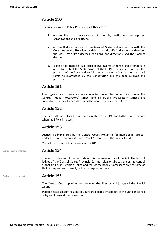The functions of the Public Procurators' Office are to:

- **1.** ensure the strict observance of laws by institutions, enterprises, organizations and by citizens,
- **2.** ensure that decisions and directives of State bodies conform with the Constitution, the SPA's laws and decisions, the NDC's decisions and orders, the SPA Presidium's decrees, decisions, and directions, and the Cabinet decisions.
- **3.** expose and institute legal proceedings against criminals and offenders in order to protect the State power of the DPRK, the socialist system, the property of the State and social, cooperative organizations and personal rights as guaranteed by the Constitution and the people's lives and property.

## **Article 151**

Investigation are prosecution are conducted under the unified direction of the Central Public Procurators' Office, and all Public Procurators Offices are subordinate to their higher offices and the Central Procurators' Office.

## **Article 152**

The Central Procurators' Office is accountable to the SPA, and to the SPA Presidium when the SPA is in recess.

## **Article 153**

Justice is administered by the Central Court, Provincial (or municipality directly under the central authority) Court, People's Court or by the Special Court.

Verdicts are delivered in the name of the DPRK.

## • Supreme court term length **Article 154**

<span id="page-26-1"></span>The term of director of the Central Court is the same as that of the SPA. The term of judges of the Central Court, Provincial (or municipality directly under the central authority) Court, People's Court, and that of the people's assessors are the same as that of the people's assembly at the corresponding level.

## • Ordinary court term length **Article 155**

<span id="page-26-0"></span>The Central Court appoints and removes the director and judges of the Special Court.

People's assessors of the Special Court are elected by soldiers of the unit concerned or by employees at their meetings.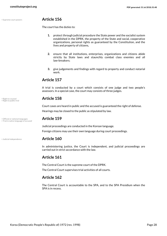## <span id="page-27-4"></span>• Supreme court powers **Article 156**

The court has the duties to:

- **1.** protect through judicial procedure the State power and the socialist system established in the DPRK, the property of the State and social, cooperative organizations, personal rights as guaranteed by the Constitution, and the lives and property of citizens,
- **2.** ensure that all institutions, enterprises, organizations and citizens abide strictly by State laws and staunchly combat class enemies and all law-breakers;
- **3.** give judgements and findings with regard to property and conduct notarial work.

## **Article 157**

A trial is conducted by a court which consists of one judge and two people's assessors. In a special case, the court may consists of three judges.

## • Right to counsel **Article 158** • Right to public trial

Court cases are heard in public and the accused is guaranteed the right of defense. Hearings may be closed to the public as stipulated by law.

<span id="page-27-5"></span><span id="page-27-1"></span>Judicial proceedings are conducted in the Korean language.

Foreign citizens may use their own language during court proceedings.

## • Judicial independence **Article 160**

In administering justice, the Court is independent, and judicial proceedings are carried out in strict accordance with the law.

## **Article 161**

The Central Court is the supreme court of the DPRK.

The Central Court supervises trial activities of all courts.

## **Article 162**

The Central Court is accountable to the SPA, and to the SPA Presidium when the SPA is in recess.

<span id="page-27-3"></span><span id="page-27-2"></span>

• Official or national languages **Article 159** • Trial in native language of accused

<span id="page-27-0"></span>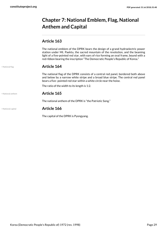## <span id="page-28-0"></span>**Chapter 7: National Emblem, Flag, National Anthem and Capital**

## **Article 163**

The national emblem of the DPRK bears the design of a grand hydroelectric power station under Mt. Paektu, the sacred mountain of the revolution, and the beaming light of a five-pointed red star, with ears of rice forming an oval frame, bound with a red ribbon bearing the inscription "The Democratic People's Republic of Korea."

## <span id="page-28-3"></span>• National flag **Article 164**

The national flag of the DPRK consists of a central red panel, bordered both above and below by a narrow white stripe and a broad blue stripe. The central red panel bears a five- pointed red star within a white circle near the hoise.

The ratio of the width to its length is 1:2.

<span id="page-28-1"></span>• National anthem **Article 165**

The national anthem of the DPRK is "the Patriotic Song."

## <span id="page-28-2"></span>• National capital **Article 166**

The capital of the DPRK is Pyongyang.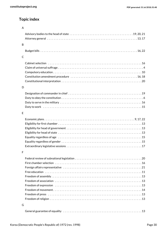## **Topic index**

| A            |  |
|--------------|--|
|              |  |
|              |  |
| B            |  |
|              |  |
|              |  |
| $\mathsf{C}$ |  |
|              |  |
|              |  |
|              |  |
|              |  |
|              |  |
| D            |  |
|              |  |
|              |  |
|              |  |
|              |  |
|              |  |
| E            |  |
|              |  |
|              |  |
|              |  |
|              |  |
|              |  |
|              |  |
|              |  |
| F            |  |
|              |  |
|              |  |
|              |  |
|              |  |
|              |  |
|              |  |
|              |  |
|              |  |
|              |  |
|              |  |
| G            |  |
|              |  |
|              |  |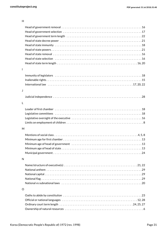|                | Head of state selection ………………………………………………………………………16                                                           |
|----------------|-----------------------------------------------------------------------------------------------------------------|
|                |                                                                                                                 |
| $\overline{1}$ |                                                                                                                 |
| J              |                                                                                                                 |
|                |                                                                                                                 |
|                |                                                                                                                 |
| L              |                                                                                                                 |
|                |                                                                                                                 |
|                |                                                                                                                 |
|                |                                                                                                                 |
| M              |                                                                                                                 |
|                |                                                                                                                 |
|                |                                                                                                                 |
|                |                                                                                                                 |
|                |                                                                                                                 |
|                |                                                                                                                 |
| N              |                                                                                                                 |
|                | Name/structure of executive(s) $\dots\dots\dots\dots\dots\dots\dots\dots\dots\dots\dots\dots\dots\dots\dots$    |
|                |                                                                                                                 |
|                |                                                                                                                 |
|                |                                                                                                                 |
|                | National vs subnational laws exception of the contract of the set of the set of the set of the set of the set o |
| O              |                                                                                                                 |
|                |                                                                                                                 |
|                |                                                                                                                 |
|                |                                                                                                                 |
|                |                                                                                                                 |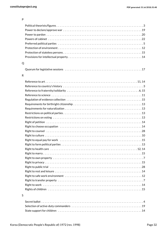| . . |    |          |  |
|-----|----|----------|--|
|     |    | ۰,<br>۰, |  |
|     | ۰. |          |  |

| Q |                                                                                                         |
|---|---------------------------------------------------------------------------------------------------------|
|   |                                                                                                         |
| R |                                                                                                         |
|   |                                                                                                         |
|   |                                                                                                         |
|   |                                                                                                         |
|   |                                                                                                         |
|   |                                                                                                         |
|   |                                                                                                         |
|   |                                                                                                         |
|   |                                                                                                         |
|   |                                                                                                         |
|   |                                                                                                         |
|   |                                                                                                         |
|   |                                                                                                         |
|   |                                                                                                         |
|   |                                                                                                         |
|   |                                                                                                         |
|   | Right to health care $\dots\dots\dots\dots\dots\dots\dots\dots\dots\dots\dots\dots\dots\dots\dots\dots$ |
|   |                                                                                                         |
|   |                                                                                                         |
|   |                                                                                                         |
|   |                                                                                                         |
|   |                                                                                                         |
|   |                                                                                                         |
|   |                                                                                                         |
|   |                                                                                                         |
|   |                                                                                                         |
| S |                                                                                                         |
|   |                                                                                                         |
|   |                                                                                                         |
|   |                                                                                                         |